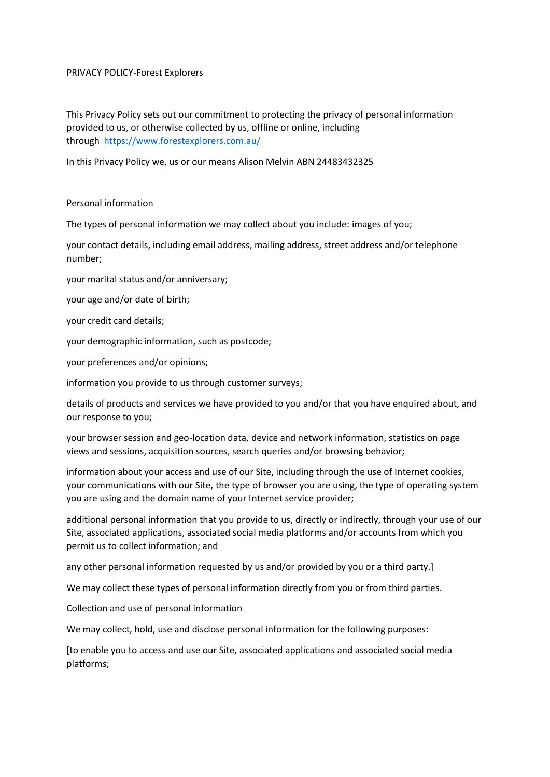### PRIVACY POLICY-Forest Explorers

This Privacy Policy sets out our commitment to protecting the privacy of personal information provided to us, or otherwise collected by us, offline or online, including through <https://www.forestexplorers.com.au/>

In this Privacy Policy we, us or our means Alison Melvin ABN 24483432325

### Personal information

The types of personal information we may collect about you include: images of you;

your contact details, including email address, mailing address, street address and/or telephone number;

your marital status and/or anniversary;

your age and/or date of birth;

your credit card details;

your demographic information, such as postcode;

your preferences and/or opinions;

information you provide to us through customer surveys;

details of products and services we have provided to you and/or that you have enquired about, and our response to you;

your browser session and geo-location data, device and network information, statistics on page views and sessions, acquisition sources, search queries and/or browsing behavior;

information about your access and use of our Site, including through the use of Internet cookies, your communications with our Site, the type of browser you are using, the type of operating system you are using and the domain name of your Internet service provider;

additional personal information that you provide to us, directly or indirectly, through your use of our Site, associated applications, associated social media platforms and/or accounts from which you permit us to collect information; and

any other personal information requested by us and/or provided by you or a third party.]

We may collect these types of personal information directly from you or from third parties.

Collection and use of personal information

We may collect, hold, use and disclose personal information for the following purposes:

[to enable you to access and use our Site, associated applications and associated social media platforms;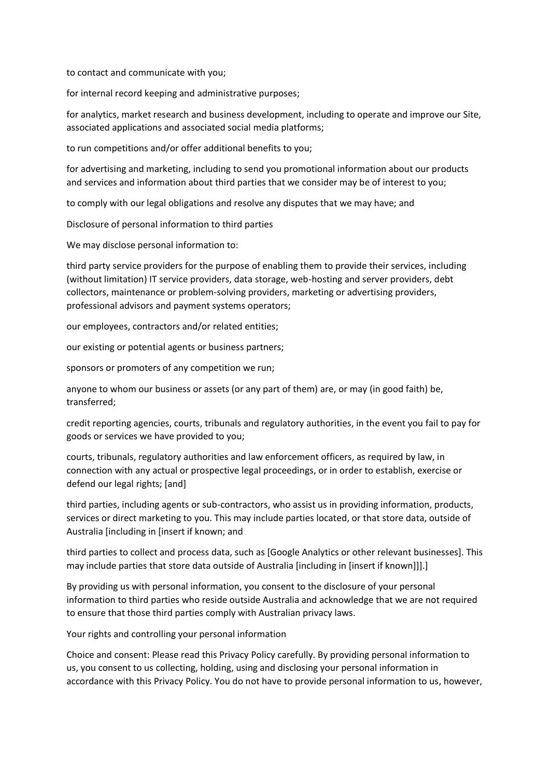to contact and communicate with you;

for internal record keeping and administrative purposes;

for analytics, market research and business development, including to operate and improve our Site, associated applications and associated social media platforms;

to run competitions and/or offer additional benefits to you;

for advertising and marketing, including to send you promotional information about our products and services and information about third parties that we consider may be of interest to you;

to comply with our legal obligations and resolve any disputes that we may have; and

Disclosure of personal information to third parties

We may disclose personal information to:

third party service providers for the purpose of enabling them to provide their services, including (without limitation) IT service providers, data storage, web-hosting and server providers, debt collectors, maintenance or problem-solving providers, marketing or advertising providers, professional advisors and payment systems operators;

our employees, contractors and/or related entities;

our existing or potential agents or business partners;

sponsors or promoters of any competition we run;

anyone to whom our business or assets (or any part of them) are, or may (in good faith) be, transferred;

credit reporting agencies, courts, tribunals and regulatory authorities, in the event you fail to pay for goods or services we have provided to you;

courts, tribunals, regulatory authorities and law enforcement officers, as required by law, in connection with any actual or prospective legal proceedings, or in order to establish, exercise or defend our legal rights; [and]

third parties, including agents or sub-contractors, who assist us in providing information, products, services or direct marketing to you. This may include parties located, or that store data, outside of Australia [including in [insert if known; and

third parties to collect and process data, such as [Google Analytics or other relevant businesses]. This may include parties that store data outside of Australia [including in [insert if known]]].]

By providing us with personal information, you consent to the disclosure of your personal information to third parties who reside outside Australia and acknowledge that we are not required to ensure that those third parties comply with Australian privacy laws.

Your rights and controlling your personal information

Choice and consent: Please read this Privacy Policy carefully. By providing personal information to us, you consent to us collecting, holding, using and disclosing your personal information in accordance with this Privacy Policy. You do not have to provide personal information to us, however,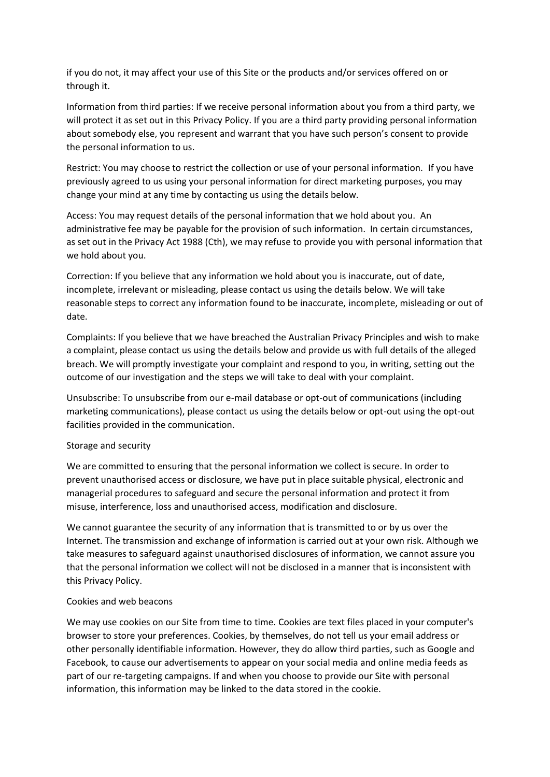if you do not, it may affect your use of this Site or the products and/or services offered on or through it.

Information from third parties: If we receive personal information about you from a third party, we will protect it as set out in this Privacy Policy. If you are a third party providing personal information about somebody else, you represent and warrant that you have such person's consent to provide the personal information to us.

Restrict: You may choose to restrict the collection or use of your personal information. If you have previously agreed to us using your personal information for direct marketing purposes, you may change your mind at any time by contacting us using the details below.

Access: You may request details of the personal information that we hold about you. An administrative fee may be payable for the provision of such information. In certain circumstances, as set out in the Privacy Act 1988 (Cth), we may refuse to provide you with personal information that we hold about you.

Correction: If you believe that any information we hold about you is inaccurate, out of date, incomplete, irrelevant or misleading, please contact us using the details below. We will take reasonable steps to correct any information found to be inaccurate, incomplete, misleading or out of date.

Complaints: If you believe that we have breached the Australian Privacy Principles and wish to make a complaint, please contact us using the details below and provide us with full details of the alleged breach. We will promptly investigate your complaint and respond to you, in writing, setting out the outcome of our investigation and the steps we will take to deal with your complaint.

Unsubscribe: To unsubscribe from our e-mail database or opt-out of communications (including marketing communications), please contact us using the details below or opt-out using the opt-out facilities provided in the communication.

# Storage and security

We are committed to ensuring that the personal information we collect is secure. In order to prevent unauthorised access or disclosure, we have put in place suitable physical, electronic and managerial procedures to safeguard and secure the personal information and protect it from misuse, interference, loss and unauthorised access, modification and disclosure.

We cannot guarantee the security of any information that is transmitted to or by us over the Internet. The transmission and exchange of information is carried out at your own risk. Although we take measures to safeguard against unauthorised disclosures of information, we cannot assure you that the personal information we collect will not be disclosed in a manner that is inconsistent with this Privacy Policy.

# Cookies and web beacons

We may use cookies on our Site from time to time. Cookies are text files placed in your computer's browser to store your preferences. Cookies, by themselves, do not tell us your email address or other personally identifiable information. However, they do allow third parties, such as Google and Facebook, to cause our advertisements to appear on your social media and online media feeds as part of our re-targeting campaigns. If and when you choose to provide our Site with personal information, this information may be linked to the data stored in the cookie.